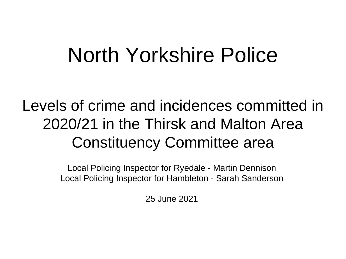# North Yorkshire Police

# Levels of crime and incidences committed in 2020/21 in the Thirsk and Malton Area Constituency Committee area

Local Policing Inspector for Ryedale - Martin Dennison Local Policing Inspector for Hambleton - Sarah Sanderson

25 June 2021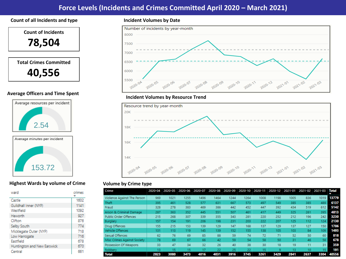## **Force Levels (Incidents and Crimes Committed April 2020 – March 2021)**

#### **Count of all Incidents and type Incident Volumes by Date**



#### **Average Officers and Time Spent**





#### **Highest Wards by volume of Crime**

| ward                        | crimes |
|-----------------------------|--------|
| Castle                      | 1602   |
| Guildhall Inner (NYP)       | 1141   |
| Westfield                   | 1092   |
| Heworth                     | 927    |
| Clifton                     | 876    |
| Selby South                 | 774    |
| Micklegate Outer (NYP)      | 718    |
| Low Harrogate               | 716    |
| Eastfield                   | 678    |
| Huntington and New Earswick | 670    |
| Central                     | 661    |



#### **Incident Volumes by Resource Trend**



#### **Volume by Crime type**

| Crime                       | 2020-04 | 2020-05 | 2020-06 |      | 2020-07 2020-08 | 2020-09 |      | $2020 - 10$ 2020-11 | 2020-12 2021-01 |                 | 2021-02 2021-03 |      | <b>Total</b> |
|-----------------------------|---------|---------|---------|------|-----------------|---------|------|---------------------|-----------------|-----------------|-----------------|------|--------------|
| Violence Against The Person | 969     | 1021    | 1255    | 1496 | 1464            | 1244    | 1264 | 1008                | 1198            | 1005            | 836             | 1019 | 13779        |
| Theft                       | 395     | 461     | 528     | 577  | 631             | 667     | 573  | 497                 | 549             | 385             | 385             | 489  | 6137         |
| Fraud                       | 328     | 278     | 383     | 469  | 386             | 442     | 452  | 447                 | 392             | 434             | 519             | 612  | 5142         |
| Arson & Criminal Damage     | 287     | 363     | 352     | 445  | 551             | 507     | 461  | 417                 | 449             | 325             | 261             | 395  | 4813         |
| Public Order Offences       | 215     | 268     | 307     | 339  | 355             | 343     | 281  | 220                 | 252             | 212             | 196             | 242  | 3230         |
| Burglary                    | 157     | 154     | 191     | 206  | 198             | 231     | 203  | 222                 | 207             | 125             | 112             | 124  | 2130         |
| Drug Offences               | 155     | 215     | 153     | 139  | 129             | 147     | 168  | 137                 | 129             | 137             | 127             | 150  | 1786         |
| Vehicle Offences            | 131     | 113     | 119     | 145  | 139             | 152     | 155  | 138                 | 105             | 103             | 84              | 109  | 1493         |
| Sexual Offences             | 62      | 76      | 69      | 85   | 88              | 59      | 74   | 72                  | 71              | 52              | 50              | 60   | 818          |
| Misc Crimes Against Society | 78      | 69      | 67      | 66   | 42              | 59      | 54   | 58                  | 50              | 31              | 46              | 58   | 678          |
| Possession Of Weapons       | 33      | 47      | 34      | 32   | 26              | 40      | 38   | 30                  | 18              | 19              | 11              | 31   | 359          |
| Robbery                     | 13      | 15      | 15      | 17   | 22              | 25      | 22   | 15                  | 9               | 13 <sup>°</sup> | 10              | 15.  | 191          |
| <b>Total</b>                | 2823    | 3080    | 3473    | 4016 | 4031            | 3916    | 3745 | 3261                | 3429            | 2841            | 2637            | 3304 | 40556        |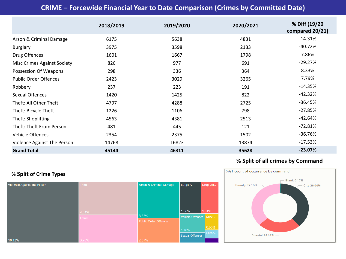# **CRIME – Forcewide Financial Year to Date Comparison (Crimes by Committed Date)**

|                                    | 2018/2019 | 2019/2020 | 2020/2021 | % Diff (19/20<br>compared 20/21) |
|------------------------------------|-----------|-----------|-----------|----------------------------------|
| Arson & Criminal Damage            | 6175      | 5638      | 4831      | $-14.31%$                        |
| <b>Burglary</b>                    | 3975      | 3598      | 2133      | $-40.72%$                        |
| Drug Offences                      | 1601      | 1667      | 1798      | 7.86%                            |
| <b>Misc Crimes Against Society</b> | 826       | 977       | 691       | $-29.27%$                        |
| Possession Of Weapons              | 298       | 336       | 364       | 8.33%                            |
| <b>Public Order Offences</b>       | 2423      | 3029      | 3265      | 7.79%                            |
| Robbery                            | 237       | 223       | 191       | $-14.35%$                        |
| Sexual Offences                    | 1420      | 1425      | 822       | $-42.32%$                        |
| Theft: All Other Theft             | 4797      | 4288      | 2725      | $-36.45%$                        |
| Theft: Bicycle Theft               | 1226      | 1106      | 798       | $-27.85%$                        |
| Theft: Shoplifting                 | 4563      | 4381      | 2513      | $-42.64%$                        |
| Theft: Theft From Person           | 481       | 445       | 121       | $-72.81%$                        |
| Vehicle Offences                   | 2354      | 2375      | 1502      | $-36.76%$                        |
| Violence Against The Person        | 14768     | 16823     | 13874     | $-17.53%$                        |
| <b>Grand Total</b>                 | 45144     | 46311     | 35628     | $-23.07%$                        |

### **% Split of Crime Types**



### **% Split of all crimes by Command**

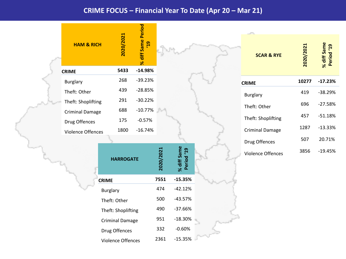### **CRIME FOCUS – Financial Year To Date (Apr 20 – Mar 21)**

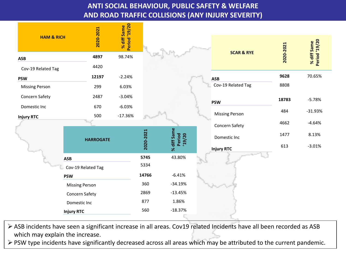# **ANTI SOCIAL BEHAVIOUR, PUBLIC SAFETY & WELFARE AND ROAD TRAFFIC COLLISIONS (ANY INJURY SEVERITY)**

| <b>HAM &amp; RICH</b>            |                       | 2020-2021        | Period '19/20<br>% diff Same |           |                                 |  |                       |           | <b>Period</b> '19/20<br>% diff Same |
|----------------------------------|-----------------------|------------------|------------------------------|-----------|---------------------------------|--|-----------------------|-----------|-------------------------------------|
| ASB                              |                       | 4897             | 98.74%                       |           |                                 |  | <b>SCAR &amp; RYE</b> | 2020-2021 |                                     |
| Cov-19 Related Tag               |                       | 4420             |                              |           |                                 |  |                       |           |                                     |
| <b>PSW</b>                       |                       | 12197            | $-2.24%$                     |           |                                 |  | <b>ASB</b>            | 9628      | 70.65%                              |
| <b>Missing Person</b>            |                       | 299              | 6.03%                        |           |                                 |  | Cov-19 Related Tag    | 8808      |                                     |
| Concern Safety                   |                       | 2487             | $-3.04%$                     |           |                                 |  | <b>PSW</b>            | 18783     | $-5.78%$                            |
| Domestic Inc                     |                       | 670              | $-6.03%$                     |           |                                 |  |                       | 484       | $-31.93%$                           |
| <b>Injury RTC</b>                |                       | 500              | $-17.36%$                    |           |                                 |  | <b>Missing Person</b> |           |                                     |
|                                  |                       |                  |                              |           |                                 |  | Concern Safety        | 4662      | $-4.64%$                            |
|                                  |                       | <b>HARROGATE</b> |                              | 2020-2021 | % diff Same<br>Period<br>'19/20 |  | Domestic Inc          | 1477      | 8.13%                               |
| <b>ASB</b><br>Cov-19 Related Tag |                       |                  |                              |           |                                 |  | <b>Injury RTC</b>     | 613       | $-3.01%$                            |
|                                  |                       |                  |                              | 5745      | 43.80%                          |  |                       |           |                                     |
|                                  |                       |                  |                              | 5334      |                                 |  |                       |           |                                     |
|                                  | <b>PSW</b>            |                  |                              | 14766     | $-6.41%$                        |  |                       |           |                                     |
|                                  | <b>Missing Person</b> |                  |                              | 360       | $-34.19%$                       |  |                       |           |                                     |
|                                  | Concern Safety        |                  |                              | 2869      | $-13.45%$                       |  |                       |           |                                     |
|                                  | Domestic Inc          |                  |                              | 877       | 1.86%                           |  |                       |           |                                     |
|                                  | <b>Injury RTC</b>     |                  |                              | 560       | $-18.37%$                       |  |                       |           |                                     |

 ASB incidents have seen a significant increase in all areas. Cov19 related Incidents have all been recorded as ASB which may explain the increase.

PSW type incidents have significantly decreased across all areas which may be attributed to the current pandemic.